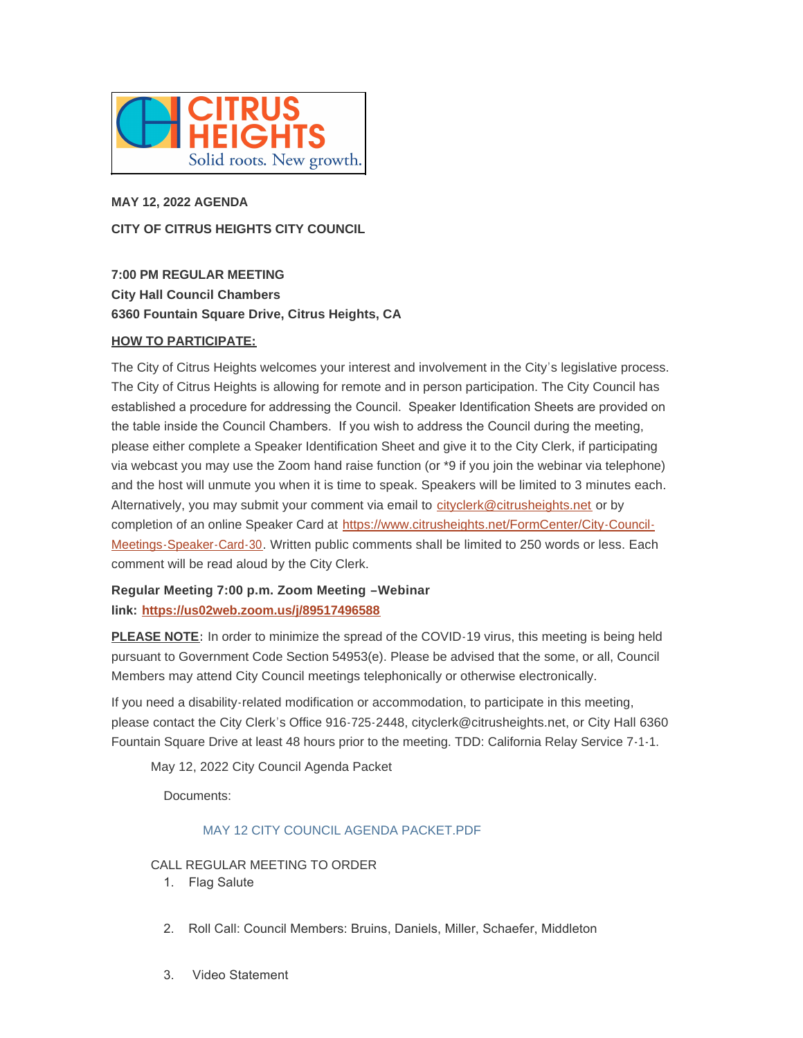

# **MAY 12, 2022 AGENDA CITY OF CITRUS HEIGHTS CITY COUNCIL**

**7:00 PM REGULAR MEETING City Hall Council Chambers 6360 Fountain Square Drive, Citrus Heights, CA**

## **HOW TO PARTICIPATE:**

The City of Citrus Heights welcomes your interest and involvement in the City's legislative process. The City of Citrus Heights is allowing for remote and in person participation. The City Council has established a procedure for addressing the Council. Speaker Identification Sheets are provided on the table inside the Council Chambers. If you wish to address the Council during the meeting, please either complete a Speaker Identification Sheet and give it to the City Clerk, if participating via webcast you may use the Zoom hand raise function (or \*9 if you join the webinar via telephone) and the host will unmute you when it is time to speak. Speakers will be limited to 3 minutes each. Alternatively, you may submit your comment via email to [cityclerk@citrusheights.net](mailto:cityclerk@citrusheights.net) or by completion of an online Speaker Card at https://www.citrusheights.net/FormCenter/City-Council-Meetings-Speaker-Card-30. Written publ[ic comments shall be limited to 250 words or less. Each](https://www.citrusheights.net/FormCenter/City-Council-Meetings-Speaker-Card-30)  comment will be read aloud by the City Clerk.

# **Regular Meeting 7:00 p.m. Zoom Meeting –Webinar link: <https://us02web.zoom.us/j/89517496588>**

**PLEASE NOTE:** In order to minimize the spread of the COVID-19 virus, this meeting is being held pursuant to Government Code Section 54953(e). Please be advised that the some, or all, Council Members may attend City Council meetings telephonically or otherwise electronically.

If you need a disability-related modification or accommodation, to participate in this meeting, please contact the City Clerk's Office 916-725-2448, cityclerk@citrusheights.net, or City Hall 6360 Fountain Square Drive at least 48 hours prior to the meeting. TDD: California Relay Service 7-1-1.

May 12, 2022 City Council Agenda Packet

Documents:

## [MAY 12 CITY COUNCIL AGENDA PACKET.PDF](http://www.citrusheights.net/AgendaCenter/ViewFile/Item/6750?fileID=34864)

CALL REGULAR MEETING TO ORDER

- 1. Flag Salute
- 2. Roll Call: Council Members: Bruins, Daniels, Miller, Schaefer, Middleton
- 3. Video Statement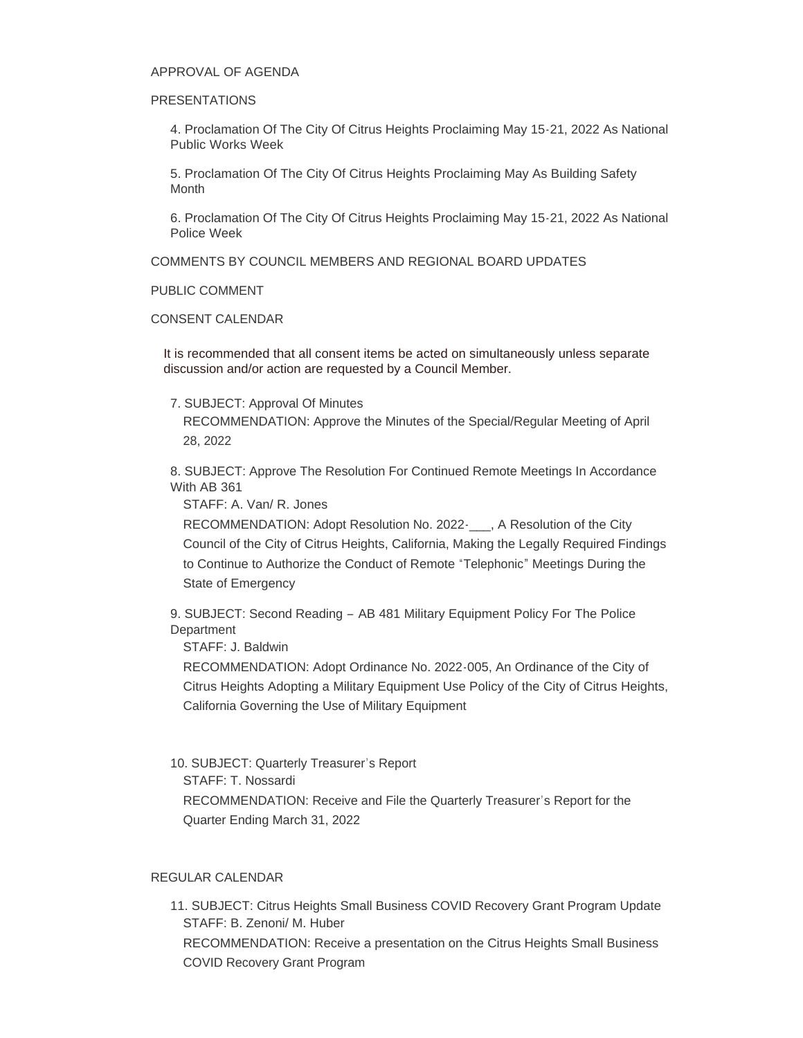#### APPROVAL OF AGENDA

#### PRESENTATIONS

4. Proclamation Of The City Of Citrus Heights Proclaiming May 15-21, 2022 As National Public Works Week

5. Proclamation Of The City Of Citrus Heights Proclaiming May As Building Safety **Month** 

6. Proclamation Of The City Of Citrus Heights Proclaiming May 15-21, 2022 As National Police Week

COMMENTS BY COUNCIL MEMBERS AND REGIONAL BOARD UPDATES

PUBLIC COMMENT

#### CONSENT CALENDAR

It is recommended that all consent items be acted on simultaneously unless separate discussion and/or action are requested by a Council Member.

#### 7. SUBJECT: Approval Of Minutes

RECOMMENDATION: Approve the Minutes of the Special/Regular Meeting of April 28, 2022

8. SUBJECT: Approve The Resolution For Continued Remote Meetings In Accordance With AB 361

STAFF: A. Van/ R. Jones

RECOMMENDATION: Adopt Resolution No. 2022-\_\_\_, A Resolution of the City Council of the City of Citrus Heights, California, Making the Legally Required Findings to Continue to Authorize the Conduct of Remote "Telephonic" Meetings During the State of Emergency

9. SUBJECT: Second Reading – AB 481 Military Equipment Policy For The Police **Department** 

STAFF: J. Baldwin

RECOMMENDATION: Adopt Ordinance No. 2022-005, An Ordinance of the City of Citrus Heights Adopting a Military Equipment Use Policy of the City of Citrus Heights, California Governing the Use of Military Equipment

10. SUBJECT: Quarterly Treasurer's Report

STAFF: T. Nossardi

RECOMMENDATION: Receive and File the Quarterly Treasurer's Report for the Quarter Ending March 31, 2022

#### REGULAR CALENDAR

11. SUBJECT: Citrus Heights Small Business COVID Recovery Grant Program Update STAFF: B. Zenoni/ M. Huber RECOMMENDATION: Receive a presentation on the Citrus Heights Small Business COVID Recovery Grant Program